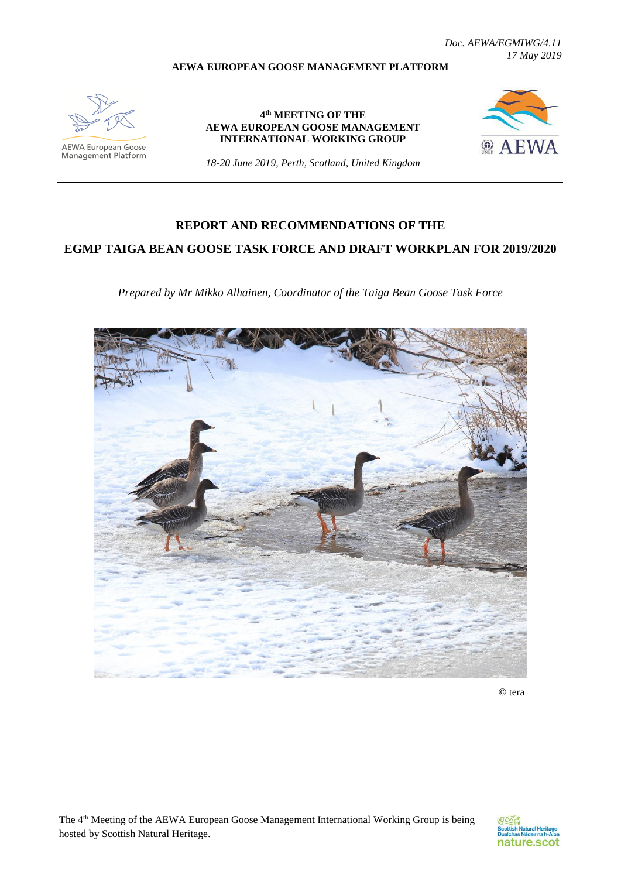*Doc. AEWA/EGMIWG/4.11 17 May 2019*

### **AEWA EUROPEAN GOOSE MANAGEMENT PLATFORM**



**AEWA European Goose** Management Platform

**4 th MEETING OF THE AEWA EUROPEAN GOOSE MANAGEMENT INTERNATIONAL WORKING GROUP**



*18-20 June 2019, Perth, Scotland, United Kingdom*

# **REPORT AND RECOMMENDATIONS OF THE**

## **EGMP TAIGA BEAN GOOSE TASK FORCE AND DRAFT WORKPLAN FOR 2019/2020**

*Prepared by Mr Mikko Alhainen, Coordinator of the Taiga Bean Goose Task Force*



© tera

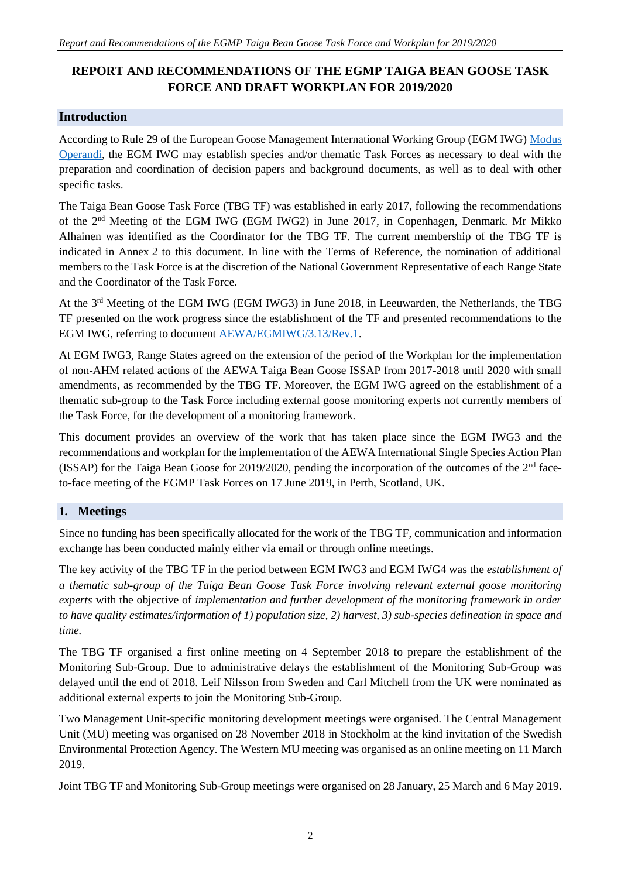# **REPORT AND RECOMMENDATIONS OF THE EGMP TAIGA BEAN GOOSE TASK FORCE AND DRAFT WORKPLAN FOR 2019/2020**

## **Introduction**

According to Rule 29 of the European Goose Management International Working Group (EGM IWG) [Modus](http://www.unep-aewa.org/sites/default/files/document/aewa_egmiwg2_inf_4_egmiwg_modus_operandi.pdf)  [Operandi,](http://www.unep-aewa.org/sites/default/files/document/aewa_egmiwg2_inf_4_egmiwg_modus_operandi.pdf) the EGM IWG may establish species and/or thematic Task Forces as necessary to deal with the preparation and coordination of decision papers and background documents, as well as to deal with other specific tasks.

The Taiga Bean Goose Task Force (TBG TF) was established in early 2017, following the recommendations of the 2nd Meeting of the EGM IWG (EGM IWG2) in June 2017, in Copenhagen, Denmark. Mr Mikko Alhainen was identified as the Coordinator for the TBG TF. The current membership of the TBG TF is indicated in Annex 2 to this document. In line with the Terms of Reference, the nomination of additional members to the Task Force is at the discretion of the National Government Representative of each Range State and the Coordinator of the Task Force.

At the 3<sup>rd</sup> Meeting of the EGM IWG (EGM IWG3) in June 2018, in Leeuwarden, the Netherlands, the TBG TF presented on the work progress since the establishment of the TF and presented recommendations to the EGM IWG, referring to document [AEWA/EGMIWG/3.13/Rev.1.](https://egmp.aewa.info/sites/default/files/meeting_files/documents/AEWA_EGM_IWG_3_13_TBG_TF_report_Rev.1.pdf)

At EGM IWG3, Range States agreed on the extension of the period of the Workplan for the implementation of non-AHM related actions of the AEWA Taiga Bean Goose ISSAP from 2017-2018 until 2020 with small amendments, as recommended by the TBG TF. Moreover, the EGM IWG agreed on the establishment of a thematic sub-group to the Task Force including external goose monitoring experts not currently members of the Task Force, for the development of a monitoring framework.

This document provides an overview of the work that has taken place since the EGM IWG3 and the recommendations and workplan for the implementation of the AEWA International Single Species Action Plan (ISSAP) for the Taiga Bean Goose for 2019/2020, pending the incorporation of the outcomes of the  $2<sup>nd</sup>$  faceto-face meeting of the EGMP Task Forces on 17 June 2019, in Perth, Scotland, UK.

## **1. Meetings**

Since no funding has been specifically allocated for the work of the TBG TF, communication and information exchange has been conducted mainly either via email or through online meetings.

The key activity of the TBG TF in the period between EGM IWG3 and EGM IWG4 was the *establishment of a thematic sub-group of the Taiga Bean Goose Task Force involving relevant external goose monitoring experts* with the objective of *implementation and further development of the monitoring framework in order to have quality estimates/information of 1) population size, 2) harvest, 3) sub-species delineation in space and time.*

The TBG TF organised a first online meeting on 4 September 2018 to prepare the establishment of the Monitoring Sub-Group. Due to administrative delays the establishment of the Monitoring Sub-Group was delayed until the end of 2018. Leif Nilsson from Sweden and Carl Mitchell from the UK were nominated as additional external experts to join the Monitoring Sub-Group.

Two Management Unit-specific monitoring development meetings were organised. The Central Management Unit (MU) meeting was organised on 28 November 2018 in Stockholm at the kind invitation of the Swedish Environmental Protection Agency. The Western MU meeting was organised as an online meeting on 11 March 2019.

Joint TBG TF and Monitoring Sub-Group meetings were organised on 28 January, 25 March and 6 May 2019.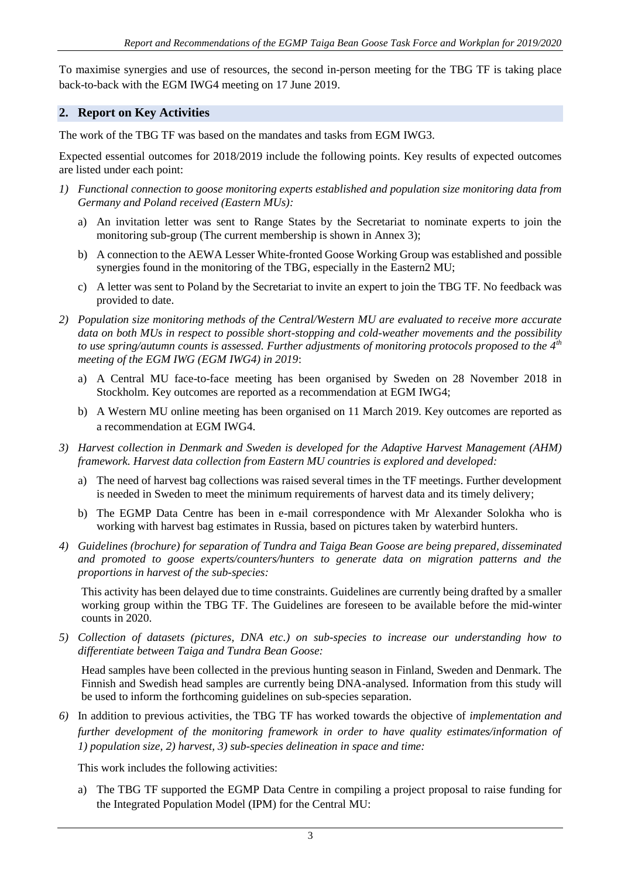To maximise synergies and use of resources, the second in-person meeting for the TBG TF is taking place back-to-back with the EGM IWG4 meeting on 17 June 2019.

### **2. Report on Key Activities**

The work of the TBG TF was based on the mandates and tasks from EGM IWG3.

Expected essential outcomes for 2018/2019 include the following points. Key results of expected outcomes are listed under each point:

- *1) Functional connection to goose monitoring experts established and population size monitoring data from Germany and Poland received (Eastern MUs):*
	- a) An invitation letter was sent to Range States by the Secretariat to nominate experts to join the monitoring sub-group (The current membership is shown in Annex 3);
	- b) A connection to the AEWA Lesser White-fronted Goose Working Group was established and possible synergies found in the monitoring of the TBG, especially in the Eastern2 MU;
	- c) A letter was sent to Poland by the Secretariat to invite an expert to join the TBG TF. No feedback was provided to date.
- *2) Population size monitoring methods of the Central/Western MU are evaluated to receive more accurate data on both MUs in respect to possible short-stopping and cold-weather movements and the possibility to use spring/autumn counts is assessed. Further adjustments of monitoring protocols proposed to the 4th meeting of the EGM IWG (EGM IWG4) in 2019*:
	- a) A Central MU face-to-face meeting has been organised by Sweden on 28 November 2018 in Stockholm. Key outcomes are reported as a recommendation at EGM IWG4;
	- b) A Western MU online meeting has been organised on 11 March 2019. Key outcomes are reported as a recommendation at EGM IWG4.
- *3) Harvest collection in Denmark and Sweden is developed for the Adaptive Harvest Management (AHM) framework. Harvest data collection from Eastern MU countries is explored and developed:*
	- a) The need of harvest bag collections was raised several times in the TF meetings. Further development is needed in Sweden to meet the minimum requirements of harvest data and its timely delivery;
	- b) The EGMP Data Centre has been in e-mail correspondence with Mr Alexander Solokha who is working with harvest bag estimates in Russia, based on pictures taken by waterbird hunters.
- *4) Guidelines (brochure) for separation of Tundra and Taiga Bean Goose are being prepared, disseminated and promoted to goose experts/counters/hunters to generate data on migration patterns and the proportions in harvest of the sub-species:*

This activity has been delayed due to time constraints. Guidelines are currently being drafted by a smaller working group within the TBG TF. The Guidelines are foreseen to be available before the mid-winter counts in 2020.

*5) Collection of datasets (pictures, DNA etc.) on sub-species to increase our understanding how to differentiate between Taiga and Tundra Bean Goose:*

Head samples have been collected in the previous hunting season in Finland, Sweden and Denmark. The Finnish and Swedish head samples are currently being DNA-analysed. Information from this study will be used to inform the forthcoming guidelines on sub-species separation.

*6)* In addition to previous activities, the TBG TF has worked towards the objective of *implementation and further development of the monitoring framework in order to have quality estimates/information of 1) population size, 2) harvest, 3) sub-species delineation in space and time:*

This work includes the following activities:

a) The TBG TF supported the EGMP Data Centre in compiling a project proposal to raise funding for the Integrated Population Model (IPM) for the Central MU: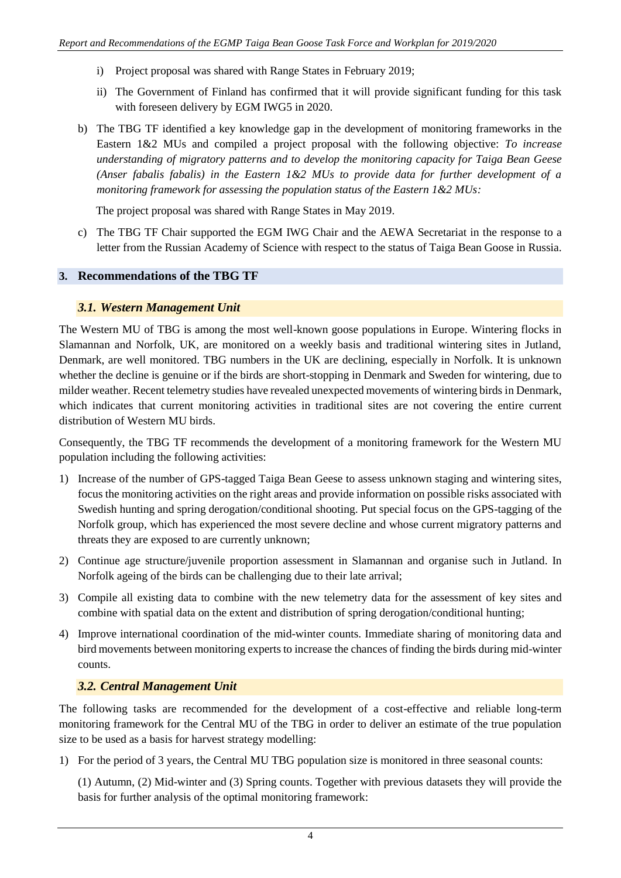- i) Project proposal was shared with Range States in February 2019;
- ii) The Government of Finland has confirmed that it will provide significant funding for this task with foreseen delivery by EGM IWG5 in 2020.
- b) The TBG TF identified a key knowledge gap in the development of monitoring frameworks in the Eastern 1&2 MUs and compiled a project proposal with the following objective: *To increase understanding of migratory patterns and to develop the monitoring capacity for Taiga Bean Geese (Anser fabalis fabalis) in the Eastern 1&2 MUs to provide data for further development of a monitoring framework for assessing the population status of the Eastern 1&2 MUs:*

The project proposal was shared with Range States in May 2019.

c) The TBG TF Chair supported the EGM IWG Chair and the AEWA Secretariat in the response to a letter from the Russian Academy of Science with respect to the status of Taiga Bean Goose in Russia.

### **3. Recommendations of the TBG TF**

### *3.1. Western Management Unit*

The Western MU of TBG is among the most well-known goose populations in Europe. Wintering flocks in Slamannan and Norfolk, UK, are monitored on a weekly basis and traditional wintering sites in Jutland, Denmark, are well monitored. TBG numbers in the UK are declining, especially in Norfolk. It is unknown whether the decline is genuine or if the birds are short-stopping in Denmark and Sweden for wintering, due to milder weather. Recent telemetry studies have revealed unexpected movements of wintering birds in Denmark, which indicates that current monitoring activities in traditional sites are not covering the entire current distribution of Western MU birds.

Consequently, the TBG TF recommends the development of a monitoring framework for the Western MU population including the following activities:

- 1) Increase of the number of GPS-tagged Taiga Bean Geese to assess unknown staging and wintering sites, focus the monitoring activities on the right areas and provide information on possible risks associated with Swedish hunting and spring derogation/conditional shooting. Put special focus on the GPS-tagging of the Norfolk group, which has experienced the most severe decline and whose current migratory patterns and threats they are exposed to are currently unknown;
- 2) Continue age structure/juvenile proportion assessment in Slamannan and organise such in Jutland. In Norfolk ageing of the birds can be challenging due to their late arrival;
- 3) Compile all existing data to combine with the new telemetry data for the assessment of key sites and combine with spatial data on the extent and distribution of spring derogation/conditional hunting;
- 4) Improve international coordination of the mid-winter counts. Immediate sharing of monitoring data and bird movements between monitoring experts to increase the chances of finding the birds during mid-winter counts.

## *3.2. Central Management Unit*

The following tasks are recommended for the development of a cost-effective and reliable long-term monitoring framework for the Central MU of the TBG in order to deliver an estimate of the true population size to be used as a basis for harvest strategy modelling:

1) For the period of 3 years, the Central MU TBG population size is monitored in three seasonal counts:

(1) Autumn, (2) Mid-winter and (3) Spring counts. Together with previous datasets they will provide the basis for further analysis of the optimal monitoring framework: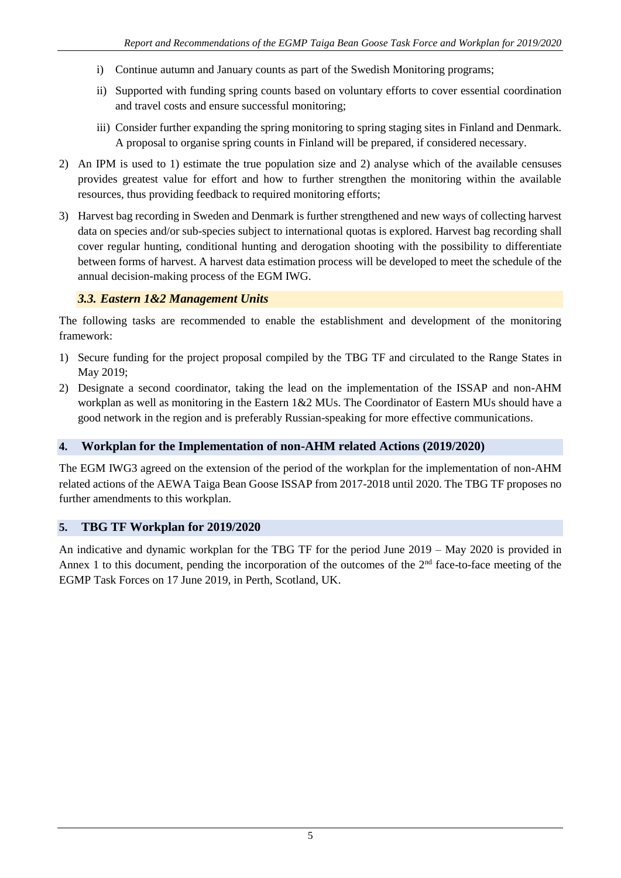- i) Continue autumn and January counts as part of the Swedish Monitoring programs;
- ii) Supported with funding spring counts based on voluntary efforts to cover essential coordination and travel costs and ensure successful monitoring;
- iii) Consider further expanding the spring monitoring to spring staging sites in Finland and Denmark. A proposal to organise spring counts in Finland will be prepared, if considered necessary.
- 2) An IPM is used to 1) estimate the true population size and 2) analyse which of the available censuses provides greatest value for effort and how to further strengthen the monitoring within the available resources, thus providing feedback to required monitoring efforts;
- 3) Harvest bag recording in Sweden and Denmark is further strengthened and new ways of collecting harvest data on species and/or sub-species subject to international quotas is explored. Harvest bag recording shall cover regular hunting, conditional hunting and derogation shooting with the possibility to differentiate between forms of harvest. A harvest data estimation process will be developed to meet the schedule of the annual decision-making process of the EGM IWG.

## *3.3. Eastern 1&2 Management Units*

The following tasks are recommended to enable the establishment and development of the monitoring framework:

- 1) Secure funding for the project proposal compiled by the TBG TF and circulated to the Range States in May 2019;
- 2) Designate a second coordinator, taking the lead on the implementation of the ISSAP and non-AHM workplan as well as monitoring in the Eastern 1&2 MUs. The Coordinator of Eastern MUs should have a good network in the region and is preferably Russian-speaking for more effective communications.

### **4. Workplan for the Implementation of non-AHM related Actions (2019/2020)**

The EGM IWG3 agreed on the extension of the period of the workplan for the implementation of non-AHM related actions of the AEWA Taiga Bean Goose ISSAP from 2017-2018 until 2020. The TBG TF proposes no further amendments to this workplan.

### **5. TBG TF Workplan for 2019/2020**

An indicative and dynamic workplan for the TBG TF for the period June 2019 – May 2020 is provided in Annex 1 to this document, pending the incorporation of the outcomes of the  $2<sup>nd</sup>$  face-to-face meeting of the EGMP Task Forces on 17 June 2019, in Perth, Scotland, UK.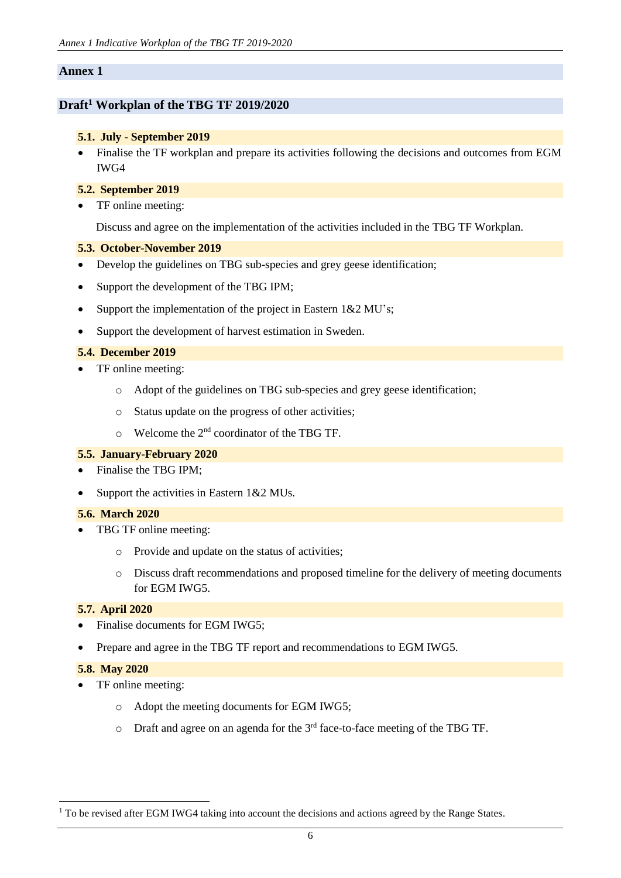### **Annex 1**

### **Draft<sup>1</sup> Workplan of the TBG TF 2019/2020**

### **5.1. July - September 2019**

• Finalise the TF workplan and prepare its activities following the decisions and outcomes from EGM IWG4

#### **5.2. September 2019**

• TF online meeting:

Discuss and agree on the implementation of the activities included in the TBG TF Workplan.

#### **5.3. October-November 2019**

- Develop the guidelines on TBG sub-species and grey geese identification;
- Support the development of the TBG IPM;
- Support the implementation of the project in Eastern 1&2 MU's;
- Support the development of harvest estimation in Sweden.

#### **5.4. December 2019**

- TF online meeting:
	- o Adopt of the guidelines on TBG sub-species and grey geese identification;
	- o Status update on the progress of other activities;
	- o Welcome the 2nd coordinator of the TBG TF.

### **5.5. January-February 2020**

- Finalise the TBG IPM:
- Support the activities in Eastern 1&2 MUs.

#### **5.6. March 2020**

- TBG TF online meeting:
	- o Provide and update on the status of activities;
	- o Discuss draft recommendations and proposed timeline for the delivery of meeting documents for EGM IWG5.

### **5.7. April 2020**

- Finalise documents for EGM IWG5;
- Prepare and agree in the TBG TF report and recommendations to EGM IWG5.

#### **5.8. May 2020**

1

- TF online meeting:
	- o Adopt the meeting documents for EGM IWG5;
	- $\circ$  Draft and agree on an agenda for the  $3<sup>rd</sup>$  face-to-face meeting of the TBG TF.

<sup>&</sup>lt;sup>1</sup> To be revised after EGM IWG4 taking into account the decisions and actions agreed by the Range States.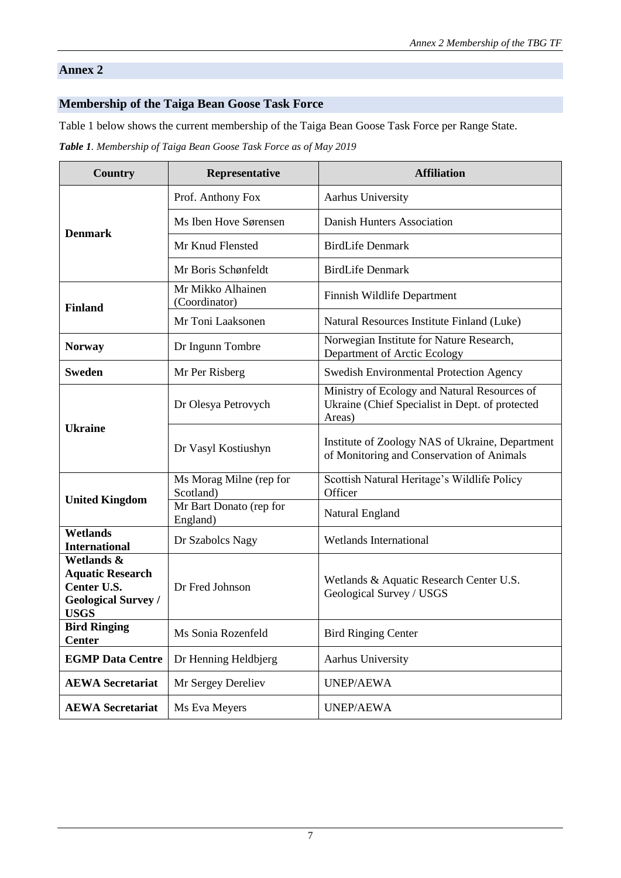### **Annex 2**

## **Membership of the Taiga Bean Goose Task Force**

Table 1 below shows the current membership of the Taiga Bean Goose Task Force per Range State.

*Table 1. Membership of Taiga Bean Goose Task Force as of May 2019*

| <b>Country</b>                                                                                    | Representative                       | <b>Affiliation</b>                                                                                        |
|---------------------------------------------------------------------------------------------------|--------------------------------------|-----------------------------------------------------------------------------------------------------------|
| <b>Denmark</b>                                                                                    | Prof. Anthony Fox                    | Aarhus University                                                                                         |
|                                                                                                   | Ms Iben Hove Sørensen                | Danish Hunters Association                                                                                |
|                                                                                                   | Mr Knud Flensted                     | <b>BirdLife Denmark</b>                                                                                   |
|                                                                                                   | Mr Boris Schønfeldt                  | <b>BirdLife Denmark</b>                                                                                   |
| <b>Finland</b>                                                                                    | Mr Mikko Alhainen<br>(Coordinator)   | Finnish Wildlife Department                                                                               |
|                                                                                                   | Mr Toni Laaksonen                    | Natural Resources Institute Finland (Luke)                                                                |
| <b>Norway</b>                                                                                     | Dr Ingunn Tombre                     | Norwegian Institute for Nature Research,<br>Department of Arctic Ecology                                  |
| <b>Sweden</b>                                                                                     | Mr Per Risberg                       | <b>Swedish Environmental Protection Agency</b>                                                            |
| <b>Ukraine</b>                                                                                    | Dr Olesya Petrovych                  | Ministry of Ecology and Natural Resources of<br>Ukraine (Chief Specialist in Dept. of protected<br>Areas) |
|                                                                                                   | Dr Vasyl Kostiushyn                  | Institute of Zoology NAS of Ukraine, Department<br>of Monitoring and Conservation of Animals              |
| <b>United Kingdom</b>                                                                             | Ms Morag Milne (rep for<br>Scotland) | Scottish Natural Heritage's Wildlife Policy<br>Officer                                                    |
|                                                                                                   | Mr Bart Donato (rep for<br>England)  | Natural England                                                                                           |
| <b>Wetlands</b><br><b>International</b>                                                           | Dr Szabolcs Nagy                     | <b>Wetlands International</b>                                                                             |
| Wetlands &<br><b>Aquatic Research</b><br>Center U.S.<br><b>Geological Survey /</b><br><b>USGS</b> | Dr Fred Johnson                      | Wetlands & Aquatic Research Center U.S.<br>Geological Survey / USGS                                       |
| <b>Bird Ringing</b><br><b>Center</b>                                                              | Ms Sonia Rozenfeld                   | <b>Bird Ringing Center</b>                                                                                |
| <b>EGMP Data Centre</b>                                                                           | Dr Henning Heldbjerg                 | Aarhus University                                                                                         |
| <b>AEWA Secretariat</b>                                                                           | Mr Sergey Dereliev                   | <b>UNEP/AEWA</b>                                                                                          |
| <b>AEWA Secretariat</b>                                                                           | Ms Eva Meyers                        | <b>UNEP/AEWA</b>                                                                                          |